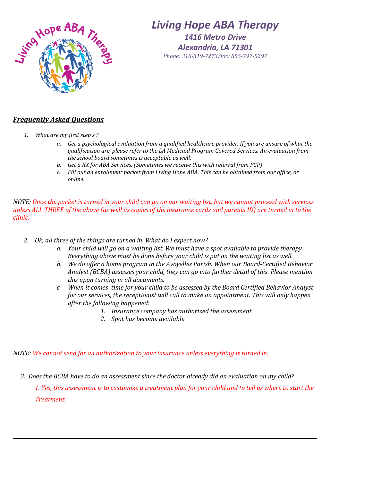

## *Living Hope ABA Therapy*

*1416 Metro Drive Alexandria, LA 71301 Phone: 318-319-7273/fax: 855-797-529[7](http://service.ringcentral.com/login/main.asp?CDDB1210:A2A226005361A1ADA7F9AC55FE15A4729E3988&enc=2&/setup/billinfo.asp)*

## *Frequently Asked Questions*

- *1. What are my first step's ?*
	- *a. Get a psychological evaluation from a qualified healthcare provider. If you are unsure of what the qualification are, please refer to the LA Medicaid Program Covered Services. An evaluation from the school board sometimes is acceptable as well.*
	- *b. Get a RX for ABA Services. (Sometimes we receive this with referral from PCP)*
	- *c. Fill out an enrollment packet from Living Hope ABA. This can be obtained from our office, or online.*

*NOTE: Once the packet is turned in your child can go on our waiting list, but we cannot proceed with services unless ALL THREE of the above (as well as copies of the insurance cards and parents ID) are turned in to the clinic.*

- *2. Ok, all three of the things are turned in. What do I expect now?* 
	- *a. Your child will go on a waiting list. We must have a spot available to provide therapy. Everything above must be done before your child is put on the waiting list as well.*
	- *b. We do offer a home program in the Avoyelles Parish. When our Board-Certified Behavior Analyst (BCBA) assesses your child, they can go into further detail of this. Please mention this upon turning in all documents.*
	- *c. When it comes time for your child to be assessed by the Board Certified Behavior Analyst for our services, the receptionist will call to make an appointment. This will only happen after the following happened:*
		- *1. Insurance company has authorized the assessment*
		- *2. Spot has become available*

## *NOTE: We cannot send for an authorization to your insurance unless everything is turned in.*

 *3. Does the BCBA have to do an assessment since the doctor already did an evaluation on my child?*

*1. Yes, this assessment is to customize a treatment plan for your child and to tell us where to start the Treatment.*